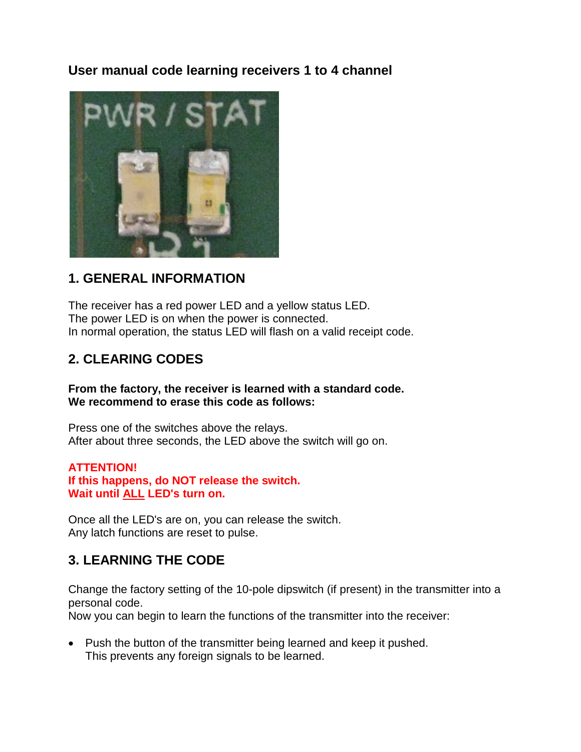## **User manual code learning receivers 1 to 4 channel**



### **1. GENERAL INFORMATION**

The receiver has a red power LED and a yellow status LED. The power LED is on when the power is connected. In normal operation, the status LED will flash on a valid receipt code.

# **2. CLEARING CODES**

**From the factory, the receiver is learned with a standard code. We recommend to erase this code as follows:**

Press one of the switches above the relays. After about three seconds, the LED above the switch will go on.

#### **ATTENTION!**

**If this happens, do NOT release the switch. Wait until ALL LED's turn on.**

Once all the LED's are on, you can release the switch. Any latch functions are reset to pulse.

## **3. LEARNING THE CODE**

Change the factory setting of the 10-pole dipswitch (if present) in the transmitter into a personal code.

Now you can begin to learn the functions of the transmitter into the receiver:

• Push the button of the transmitter being learned and keep it pushed. This prevents any foreign signals to be learned.